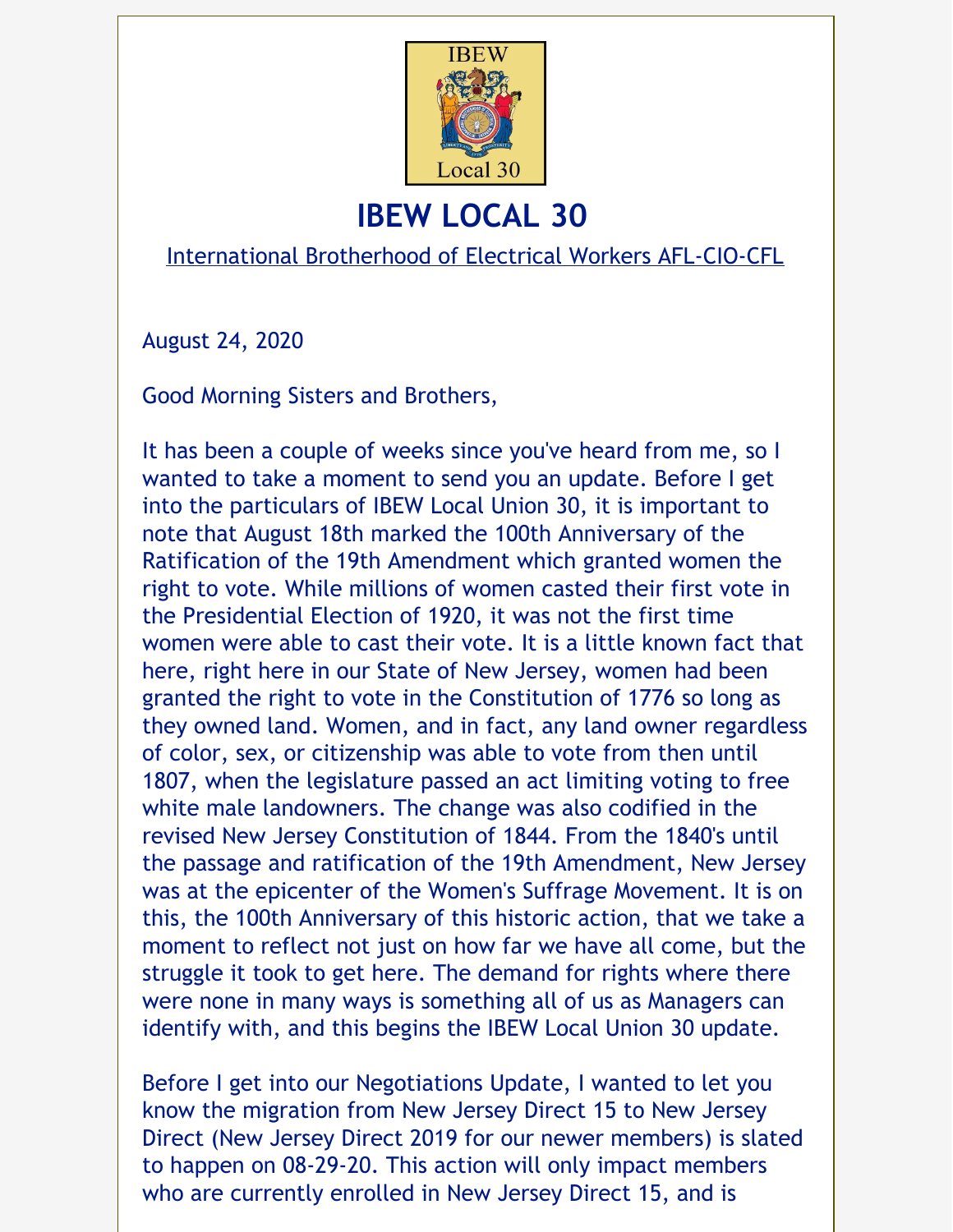

## **IBEW LOCAL 30**

International Brotherhood of Electrical Workers AFL-CIO-CFL

August 24, 2020

Good Morning Sisters and Brothers,

It has been a couple of weeks since you've heard from me, so I wanted to take a moment to send you an update. Before I get into the particulars of IBEW Local Union 30, it is important to note that August 18th marked the 100th Anniversary of the Ratification of the 19th Amendment which granted women the right to vote. While millions of women casted their first vote in the Presidential Election of 1920, it was not the first time women were able to cast their vote. It is a little known fact that here, right here in our State of New Jersey, women had been granted the right to vote in the Constitution of 1776 so long as they owned land. Women, and in fact, any land owner regardless of color, sex, or citizenship was able to vote from then until 1807, when the legislature passed an act limiting voting to free white male landowners. The change was also codified in the revised New Jersey Constitution of 1844. From the 1840's until the passage and ratification of the 19th Amendment, New Jersey was at the epicenter of the Women's Suffrage Movement. It is on this, the 100th Anniversary of this historic action, that we take a moment to reflect not just on how far we have all come, but the struggle it took to get here. The demand for rights where there were none in many ways is something all of us as Managers can identify with, and this begins the IBEW Local Union 30 update.

Before I get into our Negotiations Update, I wanted to let you know the migration from New Jersey Direct 15 to New Jersey Direct (New Jersey Direct 2019 for our newer members) is slated to happen on 08-29-20. This action will only impact members who are currently enrolled in New Jersey Direct 15, and is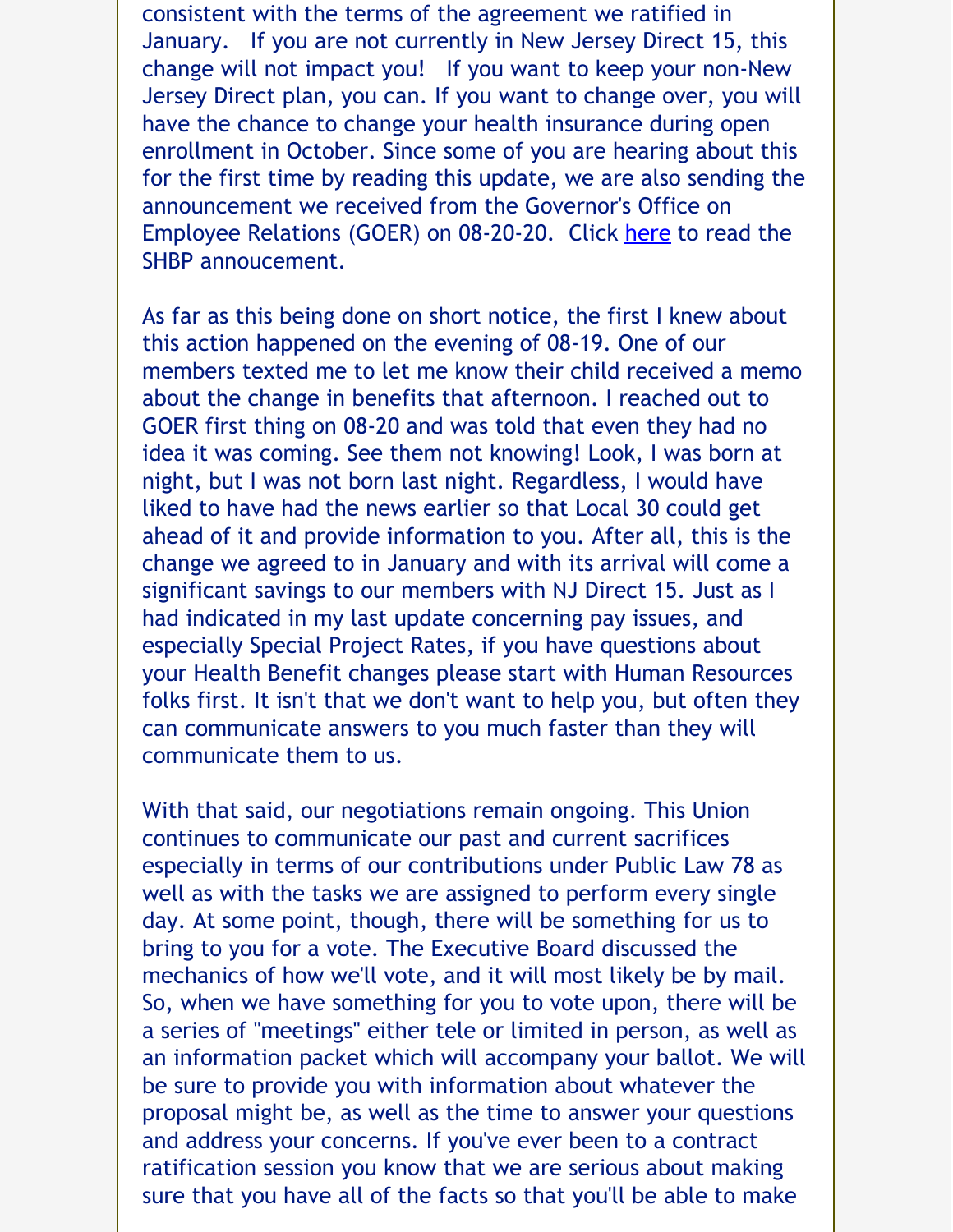consistent with the terms of the agreement we ratified in January. If you are not currently in New Jersey Direct 15, this change will not impact you! If you want to keep your non-New Jersey Direct plan, you can. If you want to change over, you will have the chance to change your health insurance during open enrollment in October. Since some of you are hearing about this for the first time by reading this update, we are also sending the announcement we received from the Governor's Office on Employee Relations (GOER) on 08-20-20. Click [here](https://files.constantcontact.com/8b099a83501/35fcfeb6-fa33-4787-b871-29653d77cdde.pdf) to read the SHBP annoucement.

As far as this being done on short notice, the first I knew about this action happened on the evening of 08-19. One of our members texted me to let me know their child received a memo about the change in benefits that afternoon. I reached out to GOER first thing on 08-20 and was told that even they had no idea it was coming. See them not knowing! Look, I was born at night, but I was not born last night. Regardless, I would have liked to have had the news earlier so that Local 30 could get ahead of it and provide information to you. After all, this is the change we agreed to in January and with its arrival will come a significant savings to our members with NJ Direct 15. Just as I had indicated in my last update concerning pay issues, and especially Special Project Rates, if you have questions about your Health Benefit changes please start with Human Resources folks first. It isn't that we don't want to help you, but often they can communicate answers to you much faster than they will communicate them to us.

With that said, our negotiations remain ongoing. This Union continues to communicate our past and current sacrifices especially in terms of our contributions under Public Law 78 as well as with the tasks we are assigned to perform every single day. At some point, though, there will be something for us to bring to you for a vote. The Executive Board discussed the mechanics of how we'll vote, and it will most likely be by mail. So, when we have something for you to vote upon, there will be a series of "meetings" either tele or limited in person, as well as an information packet which will accompany your ballot. We will be sure to provide you with information about whatever the proposal might be, as well as the time to answer your questions and address your concerns. If you've ever been to a contract ratification session you know that we are serious about making sure that you have all of the facts so that you'll be able to make